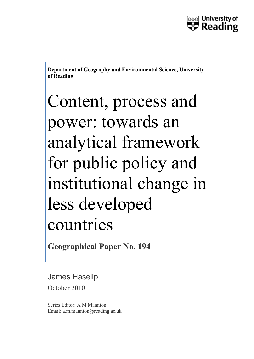

**Department of Geography and Environmental Science, University of Reading**

# Content, process and power: towards an analytical framework for public policy and institutional change in less developed countries

**Geographical Paper No. 194**

## James Haselip

October 2010

Series Editor: A M Mannion Email: a.m.mannion@reading.ac.uk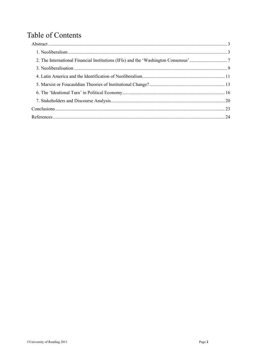## **Table of Contents**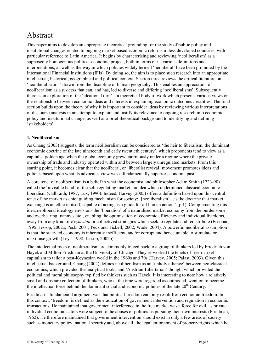## <span id="page-2-0"></span>Abstract

This paper aims to develop an appropriate theoretical grounding for the study of public policy and institutional changes related to ongoing market-based economic reforms in less developed countries, with particular reference to Latin America. It begins by characterising and reviewing 'neoliberalism' as a supposedly homogenous political-economic project, both in terms of its various definitions and interpretations, as well as the way in which policies widely termed 'neoliberal' have been promoted by the International Financial Institutions (IFIs). By doing so, the aim is to place such research into an appropriate intellectual, historical, geographical and political context. Section three reviews the critical literature on 'neoliberalisation' drawn from the discipline of human geography. This enables an appreciation of neoliberalism as a *process* that can, and has, led to diverse and differing 'neoliberalisms'. Subsequently there is an exploration of the 'ideational turn' – a theoretical body of work which presents various views on the relationship between economic ideas and interests in explaining economic outcomes / realities. The final section builds upon the theory of why it is important to consider ideas by reviewing various interpretations of discourse analysis in an attempt to explain and justify its relevance to ongoing research into economic policy and institutional change, as well as a brief theoretical background to identifying and defining 'stakeholders'.

#### <span id="page-2-1"></span>**1. Neoliberalism**

As Chang (2003) suggests, the term neoliberalism can be considered as 'the heir to liberalism, the dominant economic doctrine of the late nineteenth and early twentieth century', which proponents tend to view as a capitalist golden age when the global economy grew enormously under a regime where the private ownership of trade and industry operated within and between largely unregulated markets. From this starting point, it becomes clear that the neoliberal, or 'liberalist revival' movement promotes ideas and policies based upon what its advocates view was a fundamentally superior economic past.

A core tenet of neoliberalism is a belief in what the economist and philosopher Adam Smith (1723-90) called the 'invisible hand' of the self-regulating market, an idea which underpinned classical economic liberalism (Galbraith, 1987; Lux, 1990). Indeed, Harvey (2005) offers a definition based upon this central tenet of the market as chief guiding mechanism for society: '[neoliberalism]…is the doctrine that market exchange is an ethic in itself, capable of acting as a guide for all human action.' (p.1). Complementing this idea, neoliberal ideology envisions the 'liberation' of a naturalised market economy from the burdensome and overbearing 'nanny state', enabling the optimisation of economic efficiency and individual freedoms, away from any kind of *Keynesian* or collectivist strategies which seek to regulate and redistribute (Escobar, 1995; Jessop, 2002a; Peck, 2001; Peck and Tickell; 2002; Wade, 2004). A powerful neoliberal assumption is that the state-led economy is inherently inefficient, and/or corrupt and hence unable to stimulate or maximise growth (Leys, 1998; Jessop, 2002b).

The intellectual roots of neoliberalism are commonly traced back to a group of thinkers led by Friedrich von Hayek and Milton Friedman at the University of Chicago. They re-worked the tenets of free-market capitalism to tailor a post-Keynesian world in the 1960s and 70s (Harvey, 2005; Palast, 2003). Given this intellectual background, Chang (2002) defines neoliberalism as an 'unholy alliance' between neo-classical economics, which provided the analytical tools, and 'Austrian-Libertarian' thought which provided the political and moral philosophy typified by thinkers such as Hayek. It is interesting to note how a relatively small and obscure collection of thinkers, who at the time were regarded as outmoded, went on to become the intellectual force behind the dominant social and economic policies of the late  $20<sup>th</sup>$  Century.

Friedman's fundamental argument was that political freedom can only result from economic freedom. In this context, 'freedom' is defined as the eradication of government intervention and regulation in economic transactions. He maintained that government interference in the free market was a force for evil, as private individual economic actors were subject to the abuses of politicians pursuing their own interests (Friedman, 1962). He therefore maintained that government intervention should exist in only a few areas of society such as monetary policy, national security and, above all, the legal enforcement of property rights which he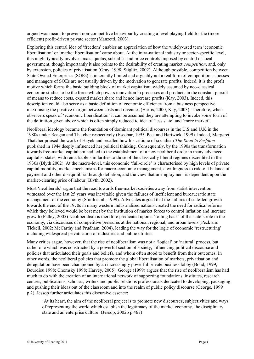argued was meant to prevent non-competitive behaviour by creating a level playing field for the (more efficient) profit-driven private sector (Manzetti, 2003).

Exploring this central idea of 'freedom' enables an appreciation of how the widely-used term 'economic liberalisation' or 'market liberalisation' came about. At the intra-national industry or sector-specific level, this might typically involves taxes, quotas, subsidies and price controls imposed by central or local government, though importantly it also points to the desirability of creating market *competition*, and, only by extension, policies of privatisation (Gray, 1998; Stiglitz, 2002). Although possible, competition between State Owned Enterprises (SOEs) is inherently limited and arguably not a real form of competition as bosses and managers of SOEs are not usually driven by the motivation to generate profits. Indeed, it is the profit motive which forms the basic building block of market capitalism, widely assumed by neo-classical economic studies to be the force which powers innovation in processes and products in the constant pursuit of means to reduce costs, expand market share and hence increase profits (Kay, 2003). Indeed, this description could also serve as a basic definition of economic efficiency from a business perspective: maximising the positive margin between costs and revenues (Harris, 2000; Kay, 2003). Therefore, when observers speak of 'economic liberalisation' it can be assumed they are attempting to invoke some form of the definition given above which is often simply reduced to idea of 'less state' and 'more market'.

Neoliberal ideology became the foundation of dominant political discourses in the U.S and U.K in the 1980s under Reagan and Thatcher respectively (Escobar, 1995, Peet and Hartwick, 1999). Indeed, Margaret Thatcher praised the work of Hayek and recalled how his critique of socialism *The Road to Serfdom* published in 1944 deeply influenced her political thinking. Consequently, by the 1990s the transformation towards free-market capitalism had led to the establishment of a new neoliberal order in many advanced capitalist states, with remarkable similarities to those of the classically liberal regimes discredited in the 1930s (Blyth 2002). At the macro-level, this economic 'full-circle' is characterised by high levels of private capital mobility, market-mechanisms for macro-economic management, a willingness to ride-out balance of payment and other disequilibria through deflation, and the view that unemployment is dependent upon the market-clearing price of labour (Blyth, 2002).

Most 'neoliberals' argue that the road towards free-market societies away from statist intervention witnessed over the last 25 years was inevitable given the failures of inefficient and bureaucratic state management of the economy (Smith et al., 1999). Advocates argued that the failures of state-led growth towards the end of the 1970s in many western industrialised nations created the need for radical reforms which they believed would be best met by the institution of market forces to control inflation and increase growth (Palley, 2005) Neoliberalism is therefore predicated upon a 'rolling back' of the state's role in the economy, via discourses of competitive pressures at the national, regional, and urban levels (Peck and Tickell, 2002; McCarthy and Prudham, 2004), leading the way for the logic of economic 'restructuring' including widespread privatisation of industries and public utilities.

Many critics argue, however, that the rise of neoliberalism was not a 'logical' or 'natural' process, but rather one which was constructed by a powerful section of society, influencing political discourse and policies that articulated their goals and beliefs, and whom often stood to benefit from their outcomes. In other words, the neoliberal policies that promote the global liberalisation of markets, privatisation and deregulation have been championed by an increasingly powerful private business lobby (Bond, 1999; Bourdieu 1998; Chomsky 1998; Harvey, 2005). George (1999) argues that the rise of neoliberalism has had much to do with the creation of an international network of supporting foundations, institutes, research centres, publications, scholars, writers and public relations professionals dedicated to developing, packaging and pushing their ideas out of the classroom and into the realm of public policy discourse (George, 1999 p.2). Jessop further articulates this discursive essence:

'At its heart, the aim of the neoliberal project is to promote new discourses, subjectivities and ways of representing the world which establish the legitimacy of the market economy, the disciplinary state and an enterprise culture' (Jessop, 2002b p.467)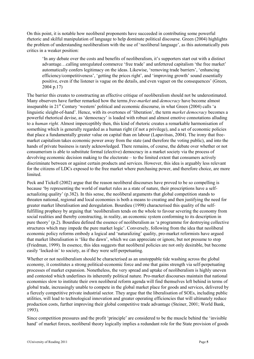On this point, it is notable how neoliberal proponents have succeeded in contributing some powerful rhetoric and skilful manipulation of language to help dominate political discourse. Green (2004) highlights the problem of understanding neoliberalism with the use of 'neoliberal language', as this automatically puts critics in a weaker position:

'In any debate over the costs and benefits of neoliberalism, it's supporters start out with a distinct advantage…calling unregulated commerce 'free trade' and unfettered capitalism 'the free market' automatically confers legitimacy on the ideas. Likewise, 'removing trade barriers', 'enhancing efficiency/competitiveness', 'getting the prices right', and 'improving growth' sound essentially positive, even if the listener is vague on the details, and even vaguer on the consequences' (Green, 2004 p.17)

The barrier this creates to constructing an effective critique of neoliberalism should not be underestimated. Many observers have further remarked how the terms *free-market* and *democracy* have become almost inseparable in 21<sup>st</sup> Century 'western' political and economic discourse, in what Green (2004) calls 'a linguistic sleight-of-hand'. Hence, with its overtones of 'liberation', the term *market democracy* becomes a powerful rhetorical devise, as 'democracy' is loaded with robust and almost emotive connotations alluding to a *human right.* Almost imperceptibly then, this kind of rhetoric creates a remarkable harmonisation of something which is generally regarded as a human right (if not a privilege), and a set of economic policies that place a fundamentally greater value on capital than on labour (Lapavitsas, 2004). The irony that freemarket capitalism takes economic power away from the state (and therefore the voting public), and into the hands of private business is rarely acknowledged. There remains, of course, the debate over whether or not consumerism is able to substitute formal (elective) democracy in a market society via the process of devolving economic decision making to the electorate – to the limited extent that consumers actively discriminate between or against certain products and services. However, this idea is arguably less relevant for the citizens of LDCs exposed to the free market where purchasing power, and therefore choice, are more limited.

Peck and Tickell (2002) argue that the reason neoliberal discourses have proved to be so compelling is because 'by representing the world of market rules as a state of nature, their prescriptions have a selfactualizing quality' (p.382). In this sense, the neoliberal arguments that global competition stands to threaten national, regional and local economies is both a means to creating and then justifying the need for greater market liberalisation and deregulation. Bourdieu (1998) characterised this quality of the selffulfilling prophesy by arguing that 'neoliberalism tends on the whole to favour severing the economy from social realities and thereby constructing, in reality, an economic system conforming to its description in pure theory' (p.2). Bourdieu defined the essence of neoliberalism as 'a programme for destroying collective structures which may impede the pure market logic'. Conversely, following from the idea that neoliberal economic policy reforms embody a logical and 'naturalizing' quality, pro-market reformists have argued that market liberalisation is 'like the dawn', which we can appreciate or ignore, but not presume to stop (Friedman, 1999). In essence, this idea suggests that neoliberal policies are not only desirable, but become easily 'locked-in' to society, as if they were self-perpetuating.

Whether or not neoliberalism should be characterised as an unstoppable tide washing across the global economy, it constitutes a strong political-economic force and one that gains strength via self-perpetuating processes of market expansion. Nonetheless, the very spread and uptake of neoliberalism is highly uneven and contested which underlines its inherently political nature. Pro-market discourses maintain that national economies slow to institute their own neoliberal reform agenda will find themselves left behind in terms of global trade, increasingly unable to compete in the global market place for goods and services, delivered by a fiercely competitive private industrial sector. They argue that the liberalisation of SOEs, including public utilities, will lead to technological innovation and greater operating efficiencies that will ultimately reduce production costs, further improving their global competitive trade advantage (Steiner, 2001; World Bank, 1993).

Since competition pressures and the profit 'principle' are considered to be the muscle behind the 'invisible hand' of market forces, neoliberal theory logically implies a redundant role for the State provision of goods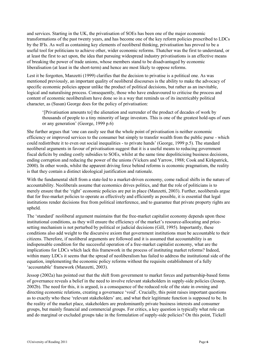and services. Starting in the UK, the privatisation of SOEs has been one of the major economic transformations of the past twenty years, and has become one of the key reform policies prescribed to LDCs by the IFIs. As well as containing key elements of neoliberal thinking, privatisation has proved to be a useful tool for politicians to achieve other, wider economic reforms. Thatcher was the first to understand, or at least the first to act upon, the idea that pursuing widespread industry privatisations is an effective means of breaking the power of trade unions, whose members stand to be disadvantaged by economic liberalisation (at least in the short-term) and hence are most likely to oppose reforms.

Lest it be forgotten, Manzetti (1999) clarifies that the decision to privatise is a political one. As was mentioned previously, an important quality of neoliberal discourses is the ability to make the advocacy of specific economic policies appear unlike the product of political decisions, but rather as an inevitable, logical and naturalising process. Consequently, those who have endeavoured to criticise the process and content of economic neoliberalism have done so in a way that reminds us of its inextricably political character, as (Susan) George does for the policy of privatisation:

'[Privatisation amounts to] the alienation and surrender of the product of decades of work by thousands of people to a tiny minority of large investors. This is one of the greatest hold-ups of ours or any generation' (George, 1999 p.6)

She further argues that 'one can easily see that the whole point of privatisation is neither economic efficiency or improved services to the consumer but simply to transfer wealth from the public purse - which could redistribute it to even out social inequalities - to private hands' (George, 1999 p.5). The standard neoliberal arguments in favour of privatisation suggest that it is a useful means to reducing government fiscal deficits by ending costly subsidies to SOEs, whilst at the same time depoliticising business decisions, ending corruption and reducing the power of the unions (Vickers and Yarrow, 1988; Cook and Kirkpatrick, 2000). In other words, whilst the apparent driving force behind reforms is economic pragmatism, the reality is that they contain a distinct ideological justification and rationale.

With the fundamental shift from a state-led to a market-driven economy, come radical shifts in the nature of accountability. Neoliberals assume that economics drives politics, and that the role of politicians is to merely ensure that the 'right' economic policies are put in place (Manzetti, 2003). Further, neoliberals argue that for free-market policies to operate as effectively and efficiently as possible, it is essential that legal institutions render decisions free from political interference, and to guarantee that private property rights are upheld.

The 'standard' neoliberal argument maintains that the free-market capitalist economy depends upon these institutional conditions, as they will ensure the efficiency of the market's resource-allocating and pricesetting mechanism is not perturbed by political or judicial decisions (Gill, 1995). Importantly, these conditions also add weight to the discursive axiom that government institutions must be accountable to their citizens. Therefore, if neoliberal arguments are followed and it is assumed that accountability is an indispensable condition for the successful operation of a free-market capitalist economy, what are the implications for LDCs which lack this framework in the process of instituting market reforms? Indeed, within many LDCs it seems that the spread of neoliberalism has failed to address the institutional side of the equation, implementing the economic policy reforms without the requisite establishment of a fully 'accountable' framework (Manzetti, 2003).

Jessop (2002a) has pointed out that the shift from government to market forces and partnership-based forms of governance reveals a belief in the need to involve relevant stakeholders in supply-side policies (Jessop, 2002b). The need for this, it is argued, is a consequence of the reduced role of the state in owning and directing economic relations, creating a governance 'void'. Crucially, this point raises important questions as to exactly who these 'relevant stakeholders' are, and what their legitimate function is supposed to be. In the reality of the market place, stakeholders are predominantly private business interests and consumer groups, but mainly financial and commercial groups. For critics, a key question is typically what role can and do marginal or excluded groups take in the formulation of supply-side policies? On this point, Tickell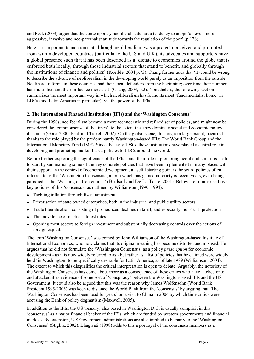and Peck (2003) argue that the contemporary neoliberal state has a tendency to adopt 'an ever-more aggressive, invasive and neo-paternalist attitude towards the regulation of the poor' (p.178).

Here, it is important to mention that although neoliberalism was a project conceived and promoted from within developed countries (particularly the U.S and U.K), its advocates and supporters have a global presence such that it has been described as a 'dictate to economies around the globe that is enforced both locally, through those industrial sectors that stand to benefit, and globally through the institutions of finance and politics' (Koelble, 2004 p.73). Chang further adds that 'it would be wrong to describe the advance of neoliberalism in the developing world purely as an imposition from the outside. Neoliberal reforms in these countries had their local defenders from the beginning; over time their number has multiplied and their influence increased' (Chang, 2003, p.2). Nonetheless, the following section summarises the most important way in which neoliberalism has found its most 'fundamentalist home' in LDCs (and Latin America in particular), via the power of the IFIs.

#### <span id="page-6-0"></span>**2. The International Financial Institutions (IFIs) and the 'Washington Consensus'**

During the 1990s, neoliberalism became a more technocratic and refined set of policies, and might now be considered the 'commonsense of the times', to the extent that they dominate social and economic policy discourse (Gore, 2000; Peck and Tickell, 2002). On the global scene, this has, to a large extent, occurred thanks to the role played by the predominantly Washington-based IFIs: The World Bank Group and the International Monetary Fund (IMF). Since the early 1980s, these institutions have played a central role in developing and promoting market-based policies to LDCs around the world.

Before further exploring the significance of the IFIs – and their role in promoting neoliberalism - it is useful to start by summarising some of the key concrete policies that have been implemented in many places with their support. In the context of economic development, a useful starting point is the set of policies often referred to as the 'Washington Consensus', a term which has gained notoriety is recent years, even being parodied as the 'Washington Contentious' (Birdsall and De La Torre, 2001). Below are summarised five key policies of this 'consensus' as outlined by Williamson (1990, 1994):

- Tackling inflation through fiscal adjustment
- Privatisation of state owned enterprises, both in the industrial and public utility sectors
- Trade liberalisation, consisting of pronounced declines in tariff, and especially, non-tariff protection
- The prevalence of market interest rates
- Opening most sectors to foreign investment and substantially decreasing controls over the actions of foreign capital.

The term 'Washington Consensus' was coined by John Williamson of the Washington-based Institute of International Economics, who now claims that its original meaning has become distorted and misused. He argues that he did not formulate the 'Washington Consensus' as a policy *prescription* for economic development - as it is now widely referred to as - but rather as a list of policies that he claimed were widely held 'in Washington' to be specifically desirable for Latin America, as of late 1989 (Williamson, 2004). The extent to which this disqualifies the critical interpretation is open to debate. Arguably, the notoriety of the Washington Consensus has come about more as a consequence of these critics who have latched onto and attacked it as evidence of some sort of 'conspiracy' between the Washington-based IFIs and the US Government. It could also be argued that this was the reason why James Wolfensohn (World Bank President 1995-2005) was keen to distance the World Bank from the 'consensus' by arguing that 'The Washington Consensus has been dead for years' on a visit to China in 2004 by which time critics were accusing the Bank of policy dogmatism (Maxwell, 2005).

In addition to the IFIs, the US treasury, also based in Washington D.C, is usually complicit in this 'consensus' as a major financial backer of the IFIs, which are funded by western governments and financial markets. By extension, U.S Government administrations are also implied to be party to the 'Washington Consensus' (Stiglitz, 2002). Bhagwati (1998) adds to this a portrayal of the consensus members as a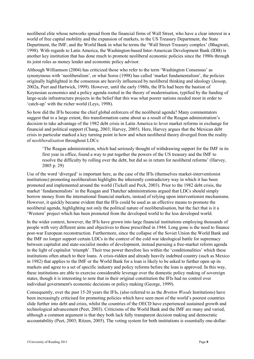neoliberal elite whose networks spread from the financial firms of Wall Street, who have a clear interest in a world of free capital mobility and the expansion of markets, to the US Treasury Department, the State Department, the IMF, and the World Bank in what he terms the 'Wall Street-Treasury complex' (Bhagwati, 1998). With regards to Latin America, the Washington-based Inter-American Development Bank (IDB) is another key institution that has done much to promote neoliberal economic policies since the 1980s through its joint roles as money lender and economic policy advisor.

Although Williamson (2004) has criticized those who refer to the term 'Washington Consensus' as synonymous with 'neoliberalism', or what Soros (1998) has called 'market fundamentalism', the policies originally highlighted in the consensus are heavily influenced by neoliberal thinking and ideology (Jessop, 2002a, Peet and Hartwick, 1999). However, until the early 1980s, the IFIs had been the bastion of Keynesian economics and a policy agenda rooted in the theory of modernisation, typified by the funding of large-scale infrastructure projects in the belief that this was what poorer nations needed most in order to 'catch-up' with the richer world (Leys, 1998).

So how did the IFIs become the chief global enforcers of the neoliberal agenda? Many commentators suggest that to a large extent, this transformation came about as a result of the Reagan administration's decision to take advantage of the 1982 debt crisis in Latin America to lever market reforms in exchange for financial and political support (Chang, 2003; Harvey, 2005). Here, Harvey argues that the Mexican debt crisis in particular marked a key turning point in how and when neoliberal theory diverged from the reality of *neoliberalisation* throughout LDCs:

'The Reagan administration, which had seriously thought of withdrawing support for the IMF in its first year in office, found a way to put together the powers of the US treasury and the IMF to resolve the difficulty by rolling over the debt, but did so in return for neoliberal reforms' (Harvey, 2005 p. 29)

Use of the word 'diverged' is important here, as the case of the IFIs (themselves market-interventionist institutions) promoting neoliberalism highlights the inherently contradictory way in which it has been promoted and implemented around the world (Tickell and Peck, 2003). Prior to the 1982 debt crisis, the market 'fundamentalists' in the Reagan and Thatcher administrations argued that LDCs should simply borrow money from the international financial markets, instead of relying upon interventionist mechanisms. However, it quickly became evident that the IFIs could be used as an effective means to promote the neoliberal agenda, highlighting not only the political nature of neoliberalisation, but the fact that is it a 'Western' project which has been promoted from the developed world to the less developed world.

In the wider context, however, the IFIs have grown into large financial institutions employing thousands of people with very different aims and objectives to those prescribed in 1944. Long gone is the need to finance post-war European reconstruction. Furthermore, since the collapse of the Soviet Union the World Bank and the IMF no longer support certain LDCs in the context of the cold war ideological battle for supremacy between capitalist and state-socialist modes of development, instead pursuing a free-market reform agenda in the light of capitalist 'triumph'. Their true power therefore lies within the 'conditionalities' which these institutions often attach to their loans. A crisis-ridden and already heavily indebted country (such as Mexico in 1982) that applies to the IMF or the World Bank for a loan is likely to be asked to further open up its markets and agree to a set of specific industry and policy reforms before the loan is approved. In this way, these institutions are able to exercise considerable leverage over the domestic policy making of sovereign states, though it is interesting to note that in their original constitution the IFIs had no control over individual government's economic decisions or policy making (George, 1999).

Consequently, over the past 15-20 years the IFIs, (also referred to as the *Bretton Woods* Institutions) have been increasingly criticised for promoting policies which have seen most of the world's poorest countries slide further into debt and crisis, whilst the countries of the OECD have experienced sustained growth and technological advancement (Peet, 2003). Criticisms of the World Bank and the IMF are many and varied, although a common argument is that they both lack fully transparent decision making and democratic accountability (Peet, 2003; Ritzen, 2005). The voting system for both institutions is essentially one-dollar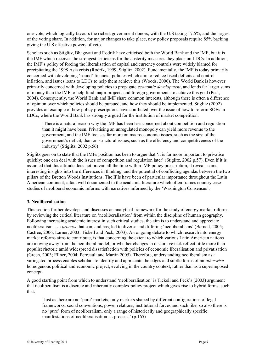one-vote, which logically favours the richest government donors, with the U.S taking 17.5%, and the largest of the voting share. In addition, for major changes to take place, new policy proposals require 85% backing giving the U.S effective powers of veto.

Scholars such as Stiglitz, Bhagwati and Rodrik have criticised both the World Bank and the IMF, but it is the IMF which receives the strongest criticisms for the austerity measures they place on LDCs. In addition, the IMF's policy of forcing the liberalisation of capital and currency controls were widely blamed for precipitating the 1998 Asia crisis (Rodrik, 1999, Stiglitz, 2002). Fundamentally, the IMF is today primarily concerned with developing 'sound' financial policies which aim to reduce fiscal deficits and control inflation, and issues loans to LDCs to help them achieve this (Woods, 2006). The World Bank is however primarily concerned with developing policies to propagate *economic development*, and lends far larger sums of money than the IMF to help fund major projects and foreign governments to achieve this goal (Peet, 2004). Consequently, the World Bank and IMF share common interests, although there is often a difference of opinion over which policies should be pursued, and how they should be implemented. Stiglitz (2002) provides an example of how policy prescriptions have conflicted over the issue of how to reform SOEs in LDCs, where the World Bank has strongly argued for the institution of market competition:

'There is a natural reason why the IMF has been less concerned about competition and regulation than it might have been. Privatising an unregulated monopoly can yield more revenue to the government, and the IMF focuses far more on macroeconomic issues, such as the size of the government's deficit, than on structural issues, such as the efficiency and competitiveness of the industry' (Stiglitz, 2002 p.56)

Stiglitz goes on to state that the IMFs position has been to argue that 'it is far more important to privatise quickly; one can deal with the issues of competition and regulation later' (Stiglitz, 2002 p.57). Even if it is assumed that this attitude does not prevail all the time within IMF policy prescription, it reveals some interesting insights into the differences in thinking, and the potential of conflicting agendas between the two pillars of the Bretton Woods Institutions. The IFIs have been of particular importance throughout the Latin American continent, a fact well documented in the academic literature which often frames country casestudies of neoliberal economic reforms with narratives informed by the 'Washington Consensus'.

#### <span id="page-8-0"></span>**3. Neoliberalisation**

This section further develops and discusses an analytical framework for the study of energy market reforms by reviewing the critical literature on 'neoliberalisation' from within the discipline of human geography. Following increasing academic interest in such critical studies, the aim is to understand and appreciate neoliberalism as a *process* that can, and has, led to diverse and differing 'neoliberalisms' (Barnett, 2005; Castree, 2006; Larner, 2003; Tickell and Peck, 2003). An ongoing debate to which research into energy market reforms aims to contribute, is that concerning the extent to which various Latin American nations are moving away from the neoliberal model, or whether changes in discursive tack reflect little more than populist rhetoric amid widespread dissatisfaction with policies of economic liberalisation and privatisation (Green, 2003; Ellner, 2004; Perreault and Martin 2005). Therefore, understanding neoliberalism as a variegated process enables scholars to identify and appreciate the edges and subtle forms of an *otherwise* homogenous political and economic project, evolving in the country context, rather than as a superimposed concept.

A good starting point from which to understand 'neoliberalisation' is Tickell and Peck's (2003) argument that neoliberalism is a discrete and inherently complex policy project which gives rise to hybrid forms, such that:

'Just as there are no 'pure' markets, only markets shaped by different configurations of legal frameworks, social conventions, power relations, institutional forces and such like, so also there is no 'pure' form of neoliberalism, only a range of historically and geographically specific manifestations of neoliberalisation-as-process.' (p.165)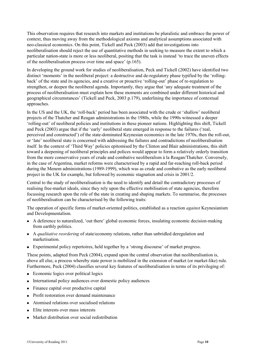This observation requires that research into markets and institutions be pluralistic and embrace the power of context, thus moving away from the methodological axioms and analytical assumptions associated with neo-classical economics. On this point, Tickell and Peck (2003) add that investigations into neoliberalisation should reject the use of quantitative methods in seeking to measure the extent to which a particular nation-state is more or less neoliberal, positing that the task is instead 'to trace the uneven effects of the neoliberalisation process over time and space' (p.165).

In developing the ground work for studies of neoliberalisation, Peck and Tickell (2002) have identified two distinct 'moments' in the neoliberal project: a destructive and de-regulatory phase typified by the 'rollingback' of the state and its agencies, and a creative or proactive 'rolling-out' phase of re-regulation to strengthen, or deepen the neoliberal agenda. Importantly, they argue that 'any adequate treatment of the process of neoliberalisation must explain how these moments are combined under different historical and geographical circumstances' (Tickell and Peck, 2003 p.179), underlining the importance of contextual approaches.

In the US and the UK, the 'roll-back' period has been associated with the crude or 'shallow' neoliberal projects of the Thatcher and Reagan administrations in the 1980s, while the 1990s witnessed a deeper 'rolling-out' of neoliberal policies and institutions in these pioneer nations. Highlighting this shift, Tickell and Peck (2003) argue that if the 'early' neoliberal state emerged in response to the failures ('real, perceived and constructed') of the state-dominated Keynesian economics in the late 1970s, then the roll-out, or 'late' neoliberal state is concerned with addressing the failures and contradictions of neoliberalisation itself. In the context of 'Third Way' policies epitomised by the Clinton and Blair administrations, this shift toward a deepening of neoliberal principles and polices would appear to form a relatively orderly transition from the more conservative years of crude and combative neoliberalism à la Reagan/Thatcher. Conversely, in the case of Argentina, market reforms were characterised by a rapid and far-reaching roll-back period during the Menem administrations (1989-1999), which was as crude and combative as the early neoliberal project in the UK for example, but followed by economic stagnation and crisis in 2001/2.

Central to the study of neoliberalisation is the need to identify and detail the contradictory processes of realising free-market ideals, since they rely upon the effective mobilisation of state agencies, therefore focussing research upon the role of the state in creating and shaping markets. To summarise, the processes of neoliberalisation can be characterised by the following traits:

The operation of specific forms of market-oriented politics, established as a reaction *against* Keynesianism and Developmentalism.

- A deference to naturalized, 'out there' global economic forces, insulating economic decision-making from earthly politics.
- A *qualitative reordering* of state/economy relations, rather than unbridled deregulation and marketisation.
- Experimental policy repertoires, held together by a 'strong discourse' of market progress.

These points, adapted from Peck (2004), expand upon the central observation that neoliberalisation is, above all else, a process whereby state power is mobilized in the extension of market (or market-like) rule. Furthermore, Peck (2004) classifies several key features of neoliberalisation in terms of its privileging of:

- Economic logics over political logics
- International policy audiences over domestic policy audiences
- Finance capital over productive capital
- Profit restoration over demand maintenance
- Atomised relations over socialised relations
- Elite interests over mass interests
- Market distribution over social redistribution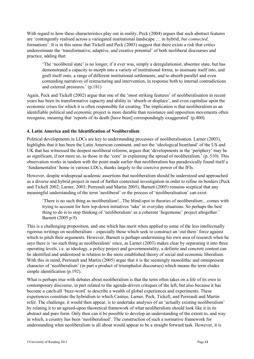With regard to how these characteristics play out in reality, Peck (2004) argues that such abstract features are 'contingently realised across a variegated institutional landscape … in hybrid, *but connected*, formations'. It is in this sense that Tickell and Peck (2003) suggest that there exists a risk that critics underestimate the 'transformative, adaptive, and creative potential' of both neoliberal discourses and practice, adding that:

'The 'neoliberal state' is no longer, if it ever was, simply a deregulationist, absentee state, but has demonstrated a capacity to morph into a variety of institutional forms, to insinuate itself into, and graft itself onto, a range of different institutional settlements, and to absorb parallel and even contending narratives of restructuring and intervention, in response both to internal contradictions and external pressures.' (p.181)

Again, Peck and Tickell (2002) argue that one of the 'most striking features' of neoliberalisation in recent years has been its transformative capacity and ability to 'absorb or displace', and even capitalise upon the economic crises for which it is often responsible for creating. The implication is that neoliberalism as an identifiable political and economic project is more durable than resistance and opposition movements often recognise, meaning that 'reports of its death [have been] correspondingly exaggerated' (p.400).

#### <span id="page-10-0"></span>**4. Latin America and the Identification of Neoliberalism**

Political developments in LDCs are key to understanding processes of neoliberalisation. Larner (2003), highlights that it has been the Latin American continent, and not the 'ideological heartland' of the US and UK that has witnessed the deepest neoliberal reforms, argues that 'developments in the 'periphery' may be as significant, if not more so, as those in the 'core' in explaining the spread of neoliberalism.' (p. 510). This observation works in tandem with the point made earlier that neoliberalism has paradoxically found itself a 'fundamentalist' home in various LDCs, thanks largely to the coercive power of the IFIs.

However, despite widespread academic assertions that neoliberalism should be understood and approached as a diverse and hybrid project in need of further contextual investigation in order to refine its borders (Peck and Tickell 2002; Larner, 2003; Perreault and Martin 2005), Barnett (2005) remains sceptical that any meaningful understanding of the term 'neoliberal' or the process of 'neoliberalisation' can exist:

'There is no such thing as neoliberalism!...The blind-spot in theories of neoliberalism…comes with trying to account for how top-down initiatives 'take' in everyday situations. So perhaps the best thing to do is to stop thinking of 'neoliberalism' as a coherent 'hegemonic' project altogether.' Barnett (2005 p.9)

This is a challenging proposition, and one which has merit when applied to some of the less intellectually rigorous writings on neoliberalism – especially those which seek to construct an 'out there' force against which to pitch their arguments. However, Barnett is perhaps undermining his own area of research when he says there is 'no such thing as neoliberalism' since, as Larner (2003) makes clear by separating it into three operating levels, i.e. as ideology, a policy project and governmentality, a definite and concrete content can be identified and understood in relation to the more established theory of social and economic liberalism. With this in mind, Perreault and Martin (2005) argue that it is the seemingly monolithic and omnipresent character of 'neoliberalism' (in part a product of triumphalist discourses) which means the term eludes simple identification (p.192).

What is perhaps true with debates about neoliberalism is that the term often takes on a life of its own in contemporary discourse, in part related to the agenda-driven critiques of the left, but also because it has become a catch-all 'buzz-word' to describe a wealth of global experiences and experiments. These experiences constitute the hybridism to which Castree, Larner, Peck, Tickell, and Perreault and Martin refer. The challenge, it would then appear, is to undertake analyses of an 'actually existing neoliberalism' by relating it to an agreed-upon theoretical framework of what neoliberalism should look like it in its abstract and pure form. Only then can it be possible to develop an understanding of the extent to, and way in which, a country has been 'neoliberalised'. The construction of such a normative framework for understanding what neoliberalism is all about would appear to be a straight forward task. However, it is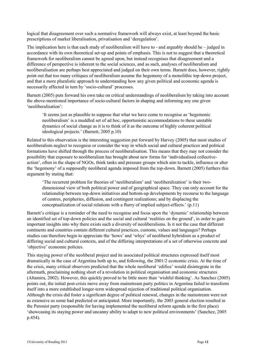logical that disagreement over such a normative framework will always exist, at least beyond the basic prescriptions of market liberalisation, privatisation and 'deregulation'.

The implication here is that each study of neoliberalism will have to - and arguably should be – judged in accordance with its own theoretical set-up and points of emphasis. This is not to suggest that a theoretical framework for neoliberalism cannot be agreed upon, but instead recognises that disagreement and a difference of perspective is inherent to the social sciences, and as such, analyses of neoliberalism and neoliberalisation are perhaps best appreciated and judged on their own terms. Barnett does, however, rightly point out that too many critiques of neoliberalism assume the hegemony of a monolithic top-down project, and that a more pluralistic approach to understanding how any given political and economic agenda is necessarily affected in turn by 'socio-cultural' processes.

Barnett (2005) puts forward his own take on critical understandings of neoliberalism by taking into account the above-mentioned importance of socio-cultural factors in shaping and informing any one given 'neoliberalisation':

'It seems just as plausible to suppose that what we have come to recognise as 'hegemonic neoliberalism' is a muddled set of ad hoc, opportunistic accommodations to these unstable dynamics of social change as it is to think of it as the outcome of highly coherent political ideological projects.' (Barnett, 2005 p.10)

Related to this observation is the interesting suggestion put forward by Harvey (2005) that most studies of neoliberalism neglect to recognise or consider the way in which social and cultural practices and political formations have shifted through the process of neoliberalisation. This means that they may not consider the possibility that exposure to neoliberalism has brought about new forms for 'individualised collectiveaction', often in the shape of NGOs, think tanks and pressure groups which aim to tackle, influence or alter the 'hegemony' of a supposedly neoliberal agenda imposed from the top-down. Barnett (2005) furthers this argument by stating that:

'The recurrent problem for theories of 'neoliberalism' and 'neoliberalization' is their twodimensional view of both political power and of geographical space. They can only account for the relationship between top-down initiatives and bottom-up developments by recourse to the language of centres, peripheries, diffusion, and contingent realizations; and by displacing the conceptualization of social relations with a flurry of implied subject-effects.' (p.11)

Barnett's critique is a reminder of the need to recognise and focus upon the 'dynamic' relationship between an identified set of top-down policies and the social and cultural 'realities on the ground', in order to gain important insights into why there exists such a diversity of neoliberalisms. Is it not the case that different continents and countries contain different cultural practices, customs, values and languages? Perhaps studies can therefore begin to appreciate the 'hows' and 'whys' of neoliberal hybridism as a product of differing social and cultural contexts, and of the differing interpretations of a set of otherwise concrete and 'objective' economic policies.

This staying power of the neoliberal project and its associated political structures expressed itself most dramatically in the case of Argentina both up to, and following, the 2001/2 economic crisis. At the time of the crisis, many critical observers predicted that the whole neoliberal 'edifice' would disintegrate in the aftermath, proclaiming nothing short of a revolution in political organisation and economic structures (Altamira, 2002). However, this quickly proved to be little more than 'wishful thinking'. As Sanchez (2005) points out, the initial post-crisis move away from mainstream party politics in Argentina failed to transform itself into a more established longer-term widespread rejection of traditional political organisation. Although the crisis did foster a significant degree of political renewal, changes in the mainstream were not as extensive as some had predicted or anticipated. More importantly, the 2003 general election resulted in the Peronist party (responsible for having implemented the neoliberal reform agenda in the first place) 'showcasing its staying power and uncanny ability to adapt to new political environments' (Sanchez, 2005 p.454).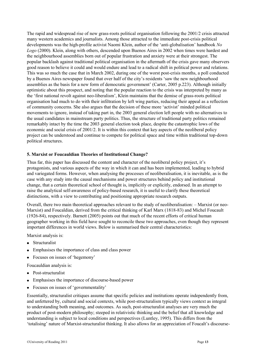The rapid and widespread rise of new grass-roots political organisation following the 2001/2 crisis attracted many western academics and journalists. Among those attracted to the immediate post-crisis political developments was the high-profile activist Naomi Klein, author of the 'anti-globalisation' handbook *No Logo* (2000). Klein, along with others, descended upon Buenos Aires in 2002 when times were hardest and the neighbourhood assemblies born out of popular frustration and anxiety were at their strongest. The popular backlash against traditional political organisation in the aftermath of the crisis gave many observers good reason to believe it could and would endure and lead to a radical shift in political power and relations. This was so much the case that in March 2002, during one of the worst post-crisis months, a poll conducted by a Buenos Aires newspaper found that over half of the city's residents 'saw the new neighbourhood assemblies as the basis for a new form of democratic government' (Carter, 2005 p.223). Although initially optimistic about this prospect, and noting that the popular reaction to the crisis was interpreted by many as the 'first national revolt against neo-liberalism', Klein maintains that the demise of grass-roots political organisation had much to do with their infiltration by left wing parties, reducing their appeal as a reflection of community concerns. She also argues that the decision of these more 'activist' minded political movements to ignore, instead of taking part in, the 2003 general election left people with no alternatives to the usual candidates in mainstream party politics. Thus, the structure of traditional party politics remained remarkably intact by the time the 2003 general election took place, despite the catastrophic lows of the economic and social crisis of 2001/2. It is within this context that key aspects of the neoliberal policy project can be understood and continue to compete for political space and time within traditional top-down political structures.

#### <span id="page-12-0"></span>**5. Marxist or Foucauldian Theories of Institutional Change?**

Thus far, this paper has discussed the content and character of the neoliberal policy project, it's protagonists, and various aspects of the way in which it can and has been implemented, leading to hybrid and variegated forms. However, when analysing the processes of neoliberalisation, it is inevitable, as is the case with any study into the causal mechanisms and power structures behind policy and institutional change, that a certain theoretical school of thought is, implicitly or explicitly, endorsed. In an attempt to raise the analytical self-awareness of policy-based research, it is useful to clarify these theoretical distinctions, with a view to contributing and positioning appropriate research outputs.

Overall, there two main theoretical approaches relevant to the study of neoliberalisation: – Marxist (or neo-Marxist) and Foucaldian, derived from the critical thinking of Karl Marx (1818-83) and Michel Foucault (1926-84), respectively. Barnett (2005) points out that much of the recent efforts of critical human geographer working in this field have sought to reconcile these two approaches, even though they represent important differences in world views. Below is summarised their central characteristics:

Marxist analysis is:

- Structuralist
- Emphasises the importance of class and class power
- Focuses on issues of 'hegemony'

Foucauldian analysis is:

- Post-structuralist
- Emphasises the importance of discourse-based power
- Focuses on issues of 'governmentality'

Essentially, structuralist critiques assume that specific policies and institutions operate independently from, and unfettered by, cultural and social contexts, while post-structuralism typically views context as integral to understanding both meaning, and outcomes. As such, post-structuralist analyses are very much the product of post-modern philosophy; steeped in relativistic thinking and the belief that all knowledge and understanding is subject to local conditions and perspectives (Luntley, 1995). This differs from the 'totalising' nature of Marxist-structuralist thinking. It also allows for an appreciation of Foucalt's discourse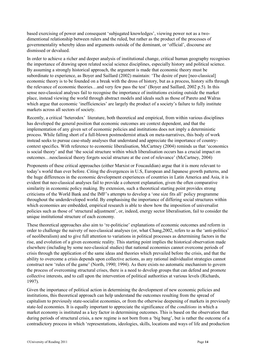based exercising of power and consequent 'subjugated knowledges', viewing power not as a twodimentional relationship between rulers and the ruled, but rather as the product of the processes of governmentality whereby ideas and arguments outside of the dominant, or 'official', discourse are dismissed or devalued.

In order to achieve a richer and deeper analysis of institutional change, critical human geography recognises the importance of drawing upon related social science disciplines, especially history and political science. By assuming a strongly historical approach, the argument is made that economic theory must be subordinate to experience, as Boyer and Saillard (2002) maintain: 'The desire of pure [neo-classical] economic theory is to be founded on a break with the dross of history, but as a process, history sifts through the relevance of economic theories…and very few pass the test' (Boyer and Saillard, 2002 p.5). In this sense neo-classical analyses fail to recognise the importance of institutions existing outside the market place, instead viewing the world through abstract models and ideals such as those of Pareto and Walras which argue that economic 'inefficiencies' are largely the product of a society's failure to fully institute markets across all sectors of society.

Recently, a critical 'heterodox' literature, both theoretical and empirical, from within various disciplines has developed the general position that economic outcomes are context dependent, and that the implementation of any given set of economic policies and institutions does not imply a deterministic process. While falling short of a full-blown postmodernist attack on meta-narratives, this body of work instead seeks to pursue case-study analyses that understand and appreciate the importance of countrycontext specifics. With reference to economic liberalisation, McCartney (2004) reminds us that 'economics is social theory' and that 'the social structure within which liberalisation occurs has a crucial impact on outcomes…neoclassical theory forgets social structure at the cost of relevance' (McCartney, 2004)

Proponents of these critical approaches (either Marxist or Foucauldian) argue that it is more relevant to today's world than ever before. Citing the divergences in U.S, European and Japanese growth patterns, and the huge differences in the economic development experiences of countries in Latin America and Asia, it is evident that neo-classical analyses fail to provide a coherent explanation, given the often comparative similarity in economic policy making. By extension, such a theoretical starting point provides strong criticisms of the World Bank and the IMF's attempts to develop a 'one size fits all' policy programme throughout the underdeveloped world. By emphasising the importance of differing social structures within which economies are embedded, empirical research is able to show how the imposition of universalist policies such as those of 'structural adjustment', or, indeed, energy sector liberalisation, fail to consider the unique institutional structure of each economy.

These theoretical approaches also aim to 're-politicise' explanations of economic outcomes and reform in order to challenge the naivety of neo-classical analyses (or, what Chang,2002, refers to as the 'anti-politics' of neoliberalism) and to give full attention to variations in political processes as determining factors in the rise, and evolution of a given economic reality. This starting point implies the historical observation made elsewhere (including by some neo-classical studies) that national economies cannot overcome periods of crisis through the application of the same ideas and theories which prevailed before the crisis, and that the ability to overcome a crisis depends upon collective actions, as any rational individualist strategies cannot construct new 'rules of the game' (North, 1990; 1994). As there exists no automatic mechanism to govern the process of overcoming structural crises, there is a need to develop groups that can defend and promote collective interests, and to call upon the intervention of political authorities at various levels (Richards, 1997).

Given the importance of political action in determining the development of new economic policies and institutions, this theoretical approach can help understand the outcomes resulting from the spread of capitalism to previously state-socialist economies, or from the otherwise deepening of markets in previously state-led economies. It is equally important to appreciate the significance of the *conditions* in which a market economy is instituted as a key factor in determining outcomes. This is based on the observation that during periods of structural crisis, a new regime is not born from a 'big bang', but is rather the outcome of a contradictory process in which 'representations, ideologies, skills, locations and ways of life and production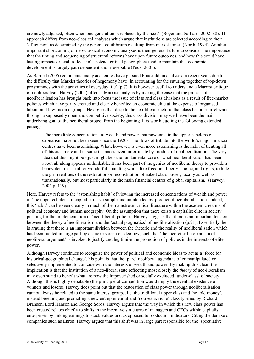are newly adjusted, often when one generation is replaced by the next' (Boyer and Saillard, 2002 p.8). This approach differs from neo-classical analyses which argue that institutions are selected according to their 'efficiency' as determined by the general equilibrium resulting from market forces (North, 1994). Another important shortcoming of neo-classical economic analyses is their general failure to consider the importance that the timing and sequencing of structural reforms have upon future outcomes, and how this could have lasting impacts or lead to 'lock-in'. Instead, critical geographers tend to maintain that economic development is largely path dependent and irreversible (Peck, 2001).

As Barnett (2005) comments, many academics have pursued Foucauldian analyses in recent years due to the difficulty that Marxist theories of hegemony have 'in accounting for the suturing together of top-down programmes with the activities of everyday life' (p.7). It is however useful to understand a Marxist critique of neoliberalism. Harvey (2005) offers a Marxist analysis by making the case that the process of neoliberalisation has brought back into focus the issue of class and class divisions as a result of free-market policies which have partly created and clearly benefited an economic elite at the expense of organised labour and low-income groups. He argues that despite the neo-liberal rhetoric that class becomes irrelevant through a supposedly open and competitive society, this class division may well have been the main underlying goal of the neoliberal project from the beginning. It is worth quoting the following extended passage:

'The incredible concentrations of wealth and power that now exist in the upper echelons of capitalism have not been seen since the 1920s. The flows of tribute into the world's major financial centres have been astonishing. What, however, is even more astonishing is the habit of treating all of this as a mere and in some instances even unfortunate by-product of neoliberalisation. The very idea that this might be - just might be - the fundamental core of what neoliberalisation has been about all along appears unthinkable. It has been part of the genius of neoliberal theory to provide a benevolent mask full of wonderful-sounding words like freedom, liberty, choice, and rights, to hide the grim realities of the restoration or reconstitution of naked class power, locally as well as transnationally, but most particularly in the main financial centres of global capitalism.' (Harvey, 2005 p. 119)

Here, Harvey refers to the 'astonishing habit' of viewing the increased concentrations of wealth and power in 'the upper echelons of capitalism' as a simple and unintended by-product of neoliberalisation. Indeed, this 'habit' can be seen clearly in much of the mainstream critical literature within the academic realms of political economy and human geography. On the assumption that there exists a capitalist elite in society pushing for the implementation of 'neo-liberal' policies, Harvey suggests that there is an important tension between the theory of neoliberalism and the 'actual pragmatics' of neoliberalisation (p.21). Essentially, he is arguing that there is an important division between the rhetoric and the reality of neoliberalisation which has been fuelled in large part by a smoke screen of ideology, such that 'the theoretical utopianism of neoliberal argument' is invoked to justify and legitimise the promotion of policies in the interests of elite power.

Although Harvey continues to recognise the power of political and economic ideas to act as a 'force for historical-geographical change', his point is that the 'pure' neoliberal agenda is often manipulated or selectively implemented to coincide with the interests of wealth and power. By making this clear, the implication is that the institution of a neo-liberal state reflecting most closely the *theory* of neo-liberalism may even stand to benefit what are now the impoverished or socially excluded 'under-class' of society. Although this is highly debatable (the principle of competition would imply the eventual existence of winners and losers), Harvey does point out that the restoration of class power through neoliberalisation cannot always be related to the same interest groups, i.e. the traditional upper class and the 'old money', instead breeding and promoting a new entrepreneurial and 'nouveaux riche' class typified by Richard Branson, Lord Hanson and George Soros. Harvey argues that the way in which this new class power has been created relates chiefly to shifts in the incentive structures of managers and CEOs within capitalist enterprises by linking earnings to stock values and as opposed to production indicators. Citing the demise of companies such as Enron, Harvey argues that this shift was in large part responsible for the 'speculative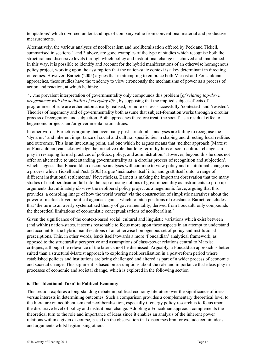temptations' which divorced understandings of company value from conventional material and productive measurements.

Alternatively, the various analyses of neoliberalism and neoliberalisation offered by Peck and Tickell, summarised in sections 1 and 3 above, are good examples of the type of studies which recognise both the structural and discursive levels through which policy and institutional change is achieved and maintained. In this way, it is possible to identify and account for the hybrid manifestations of an otherwise homogenous policy project, working upon the assumption that the nation-state context is a key determinant in directing outcomes. However, Barnett (2005) argues that in attempting to embrace both Marxist and Foucauldian approaches, these studies have the tendency to view erroneously the mechanisms of power as a process of action and reaction, at which he hints:

'…the prevalent interpretation of governmentality only compounds this problem [*of relating top-down programmes with the activities of everyday life*], by supposing that the implied subject-effects of programmes of rule are either automatically realised, or more or less successfully 'contested' and 'resisted'. Theories of hegemony and of governmentality both assume that subject-formation works through a circular process of recognition and subjection. Both approaches therefore treat 'the social' as a residual effect of hegemonic projects and/or governmental rationalities.'

In other words, Barnett is arguing that even many post-structuralist analyses are failing to recognise the 'dynamic' and inherent importance of social and cultural specificities in shaping and directing local realities and outcomes. This is an interesting point, and one which he argues means that 'neither approach [Marxist or Foucauldian] can acknowledge the proactive role that long-term rhythms of socio-cultural change can play in reshaping formal practices of politics, policy, and administration.' However, beyond this he does not offer an alternative to understanding governmentality as 'a circular process of recognition and subjection', which suggests that Foucauldian discourse analyses will continue to view policy and institutional change as a process which Tickell and Peck (2003) argue 'insinuates itself into, and graft itself onto, a range of different institutional settlements.' Nevertheless, Barnett is making the important observation that too many studies of neoliberalisation fall into the trap of using notions of governmentality as instruments to prop up arguments that ultimately *do* view the neoliberal policy project as a hegemonic force, arguing that this provides 'a consoling image of how the world works' via the construction of simplistic narratives about the power of market-driven political agendas against which to pitch positions of resistance. Barnett concludes that 'the turn to an overly systematized theory of governmentality, derived from Foucault, only compounds the theoretical limitations of economistic conceptualisations of neoliberalism.'

Given the significance of the context-based social, cultural and linguistic variations which exist between (and within) nation-states, it seems reasonable to focus more upon these aspects in an attempt to understand and account for the hybrid manifestations of an otherwise homogenous set of policy and institutional prescriptions. This, in other words, lends itself towards a more 'Foucaldian' analytical framework, as opposed to the structuralist perspective and assumptions of class-power relations central to Marxist critiques, although the relevance of the later cannot be dismissed. Arguably, a Foucaldian approach is better suited than a structural-Marxist approach to exploring neoliberalisation in a post-reform period where established policies and institutions are being challenged and altered as part of a wider process of economic and societal change. This argument is based on assumptions about the role and importance that ideas play in processes of economic and societal change, which is explored in the following section.

#### <span id="page-15-0"></span>**6. The 'Ideational Turn' in Political Economy**

This section explores a long-standing debate in political economy literature over the significance of ideas versus interests in determining outcomes. Such a comparison provides a complementary theoretical level to the literature on neoliberalism and neoliberalisation, especially if energy policy research is to focus upon the discursive level of policy and institutional change. Adopting a Foucaldian approach complements the theoretical turn to the role and importance of ideas since it enables an analysis of the inherent power relations within a given discourse, based on the observation that discourses limit or exclude certain ideas and arguments whilst legitimising others.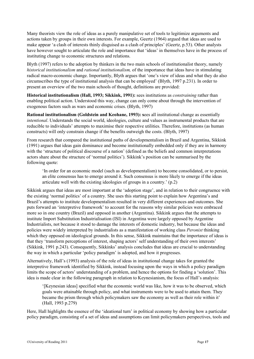Many theorists view the role of ideas as a purely manipulative set of tools to legitimize arguments and actions taken by groups in their own interests. For example, Geertz (1964) argued that ideas are used to make appear 'a clash of interests thinly disguised as a clash of principles' (Geertz, p.53). Other analysts have however sought to articulate the role and importance that 'ideas' in themselves have in the process of instituting change to economic structures and relations.

Blyth (1997) refers to the adoption by thinkers in the two main schools of institutionalist theory, namely *historical institutionalism* and *rational institutionalism,* of the importance that ideas have in stimulating radical macro-economic change. Importantly, Blyth argues that 'one's view of ideas and what they do also circumscribes the type of institutional analysis that can be employed' (Blyth, 1997 p.231). In order to present an overview of the two main schools of thought, definitions are provided:

**Historical institutionalism (Hall, 1993; Sikkink, 1991):** sees institutions as *constraining* rather than enabling political action. Understood this way, change can only come about through the intervention of exogenous factors such as wars and economic crises. (Blyth, 1997)

**Rational institutionalism (Goldstein and Keohane, 1993): s**ees all institutional change as essentially *intentional*. Understands the social world, ideologies, culture and values as instrumental products that are reducible to individuals' attempts to maximise their respective utilities. Therefore, institutions (as human constructs) will only constrain change if the benefits outweigh the costs. (Blyth, 1997)

From research that compared the institutional paths of developmentalism in Brazil and Argentina, Sikkink (1991) argues that ideas gain dominance and become institutionally embedded only if they are in harmony with the 'structure of political discourse of a nation' (defined as the beliefs and common interpretations actors share about the structure of 'normal politics'). Sikkink's position can be summarised by the following quote:

'In order for an economic model (such as developmentalism) to become consolidated, or to persist, an elite consensus has to emerge around it. Such consensus is more likely to emerge if the ideas articulate well with the existing ideologies of groups in a country.' (p.2)

Sikkink argues that ideas are most important at the 'adoption stage', and in relation to their congruence with the existing 'normal politics' of a country. She uses this starting point to explain how Argentina's and Brazil's attempts to institute developmentalism resulted in very different experiences and outcomes. She puts forward an 'interpretive framework' to account for the reasons why similar policies were embraced more so in one country (Brazil) and opposed in another (Argentina). Sikkink argues that the attempts to institute Import Substitution Industrialisation (ISI) in Argentina were largely opposed by Argentine Industrialists, not because it stood to damage the interests of domestic industry, but because the ideas and policies were widely interpreted by industrialists as a manifestation of working class *Peronist* thinking which they opposed on ideological grounds. In this sense, Sikkink maintains that the importance of ideas is that they 'transform perceptions of interest, shaping actors' self understanding of their own interests' (Sikkink, 1991 p.243). Consequently, Sikkinks' analysis concludes that ideas are crucial to understanding the way in which a particular 'policy paradigm' is adopted, and how it progresses.

Alternatively, Hall's (1993) analysis of the role of ideas in institutional change takes for granted the interpretive framework identified by Sikkink, instead focusing upon the ways in which a policy paradigm limits the scope of actors' understanding of a problem, and hence the options for finding a 'solution'. This idea is made clear in the following paragraph in relation to Keynesianism, the focus of Hall's analysis:

'[Keynesian ideas] specified what the economic world was like, how it was to be observed, which goals were attainable through policy, and what instruments were to be used to attain them. They became the prism through which policymakers saw the economy as well as their role within it' (Hall, 1993 p.279)

Here, Hall highlights the essence of the 'ideational turn' in political economy by showing how a particular policy paradigm, consisting of a set of ideas and assumptions can limit policymakers perspectives, tools and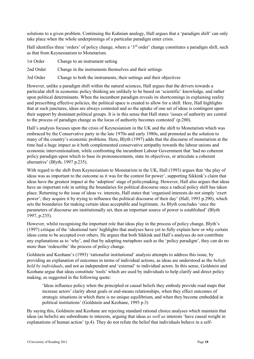solutions to a given problem. Continuing the Kuhnian analogy, Hall argues that a 'paradigm shift' can only take place when the whole underpinnings of a particular paradigm enter crisis.

Hall identifies three 'orders' of policy change, where a '3<sup>rd</sup> order' change constitutes a paradigm shift, such as that from Keynesianism to Monetarism.

1st Order Change to an instrument setting

2nd Order Change in the instruments themselves and their settings

3rd Order Change to both the instruments, their settings and their objectives

However, unlike a paradigm shift within the natural sciences, Hall argues that the drivers towards a particular shift in economic policy thinking are unlikely to be based on 'scientific' knowledge, and rather upon political determinants. When the incumbent paradigm reveals its shortcomings in explaining reality and prescribing effective policies, the political space is created to allow for a shift. Here, Hall highlights that at such junctures, ideas are always contested and so the uptake of one set of ideas is contingent upon their support by dominant political groups. It is in this sense that Hall states 'issues of authority are central to the process of paradigm change as the locus of authority becomes contested' (p.280).

Hall's analysis focuses upon the crisis of Keynesianism in the UK and the shift to Monetarism which was embraced by the Conservative party in the late 1970s and early 1980s, and promoted as the solution to many of the country's economic problems. Here, Blyth (1997) adds that the discourse of monetarism at the time had a huge impact as it both complemented conservative antipathy towards the labour unions and economic interventionalism, while confronting the incumbent Labour Government that 'had no coherent policy paradigm upon which to base its pronouncements, state its objectives, or articulate a coherent alternative' (Blyth, 1997 p.235).

With regard to the shift from Keynesianism to Monetarism in the UK, Hall (1993) argues that 'the play of ideas was as important to the outcome as it was for the contest for power', supporting Sikkink's claim that ideas have the greatest impact at the 'adoption' stage of policymaking. However, Hall also argues that ideas have an important role in setting the boundaries for political discourse once a radical policy shift has taken place. Returning to the issue of ideas vs. interests, Hall states that 'organised interests do not simply 'exert power'; they acquire it by trying to influence the political discourse of their day' (Hall, 1993 p.290), which sets the boundaries for making certain ideas acceptable and legitimate. As Blyth concludes 'once the parameters of discourse are institutionally set, then an important source of power is established' (Blyth 1997, p.235).

However, whilst recognising the important role that ideas play in the process of policy change, Blyth's (1997) critique of the 'ideational turn' highlights that analyses have yet to fully explain how or why certain ideas come to be accepted over others. He argues that both Sikkink and Hall's analyses do not contribute any explanations as to 'why', and that by adopting metaphors such as the 'policy paradigm', they can do no more than 'redescribe' the process of policy change.

Goldstein and Keohane's (1993) 'rationalist institutional' analysis attempts to address this issue, by providing an explanation of outcomes in terms of individual actions, as ideas are understood as the *beliefs held by individuals*, and not as independent and 'external' to individual actors. In this sense, Goldstein and Keohane argue that ideas constitute 'tools' which are used by individuals to help clarify and direct policy making, as suggested in the following quote:

'Ideas influence policy when the principled or causal beliefs they embody provide road maps that increase actors' clarity about goals or end-means relationships, when they effect outcomes of strategic situations in which there is no unique equilibrium, and when they become embedded in political institutions' (Goldstein and Keohane, 1993 p.3)

By saying this, Goldstein and Keohane are rejecting standard rational choice analyses which maintain that ideas (as beliefs) are subordinate to interests, arguing that ideas *as well as* interests 'have causal weight in explanations of human action' (p.4). They do not refute the belief that individuals behave in a self-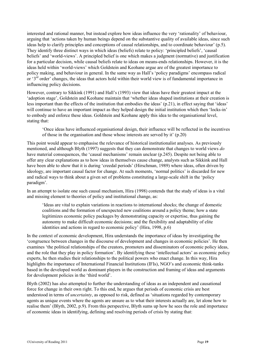interested and rational manner, but instead explore how ideas influence the very 'rationality' of behaviour, arguing that 'actions taken by human beings depend on the substantive quality of available ideas, since such ideas help to clarify principles and conceptions of causal relationships, and to coordinate behaviour' (p.5). They identify three distinct ways in which ideas (beliefs) relate to policy: 'principled beliefs', 'causal beliefs' and 'world-views'. A principled belief is one which makes a judgment (normative) and justification for a particular decision, while causal beliefs relate to ideas on means-ends relationships. However, it is the ideas held within 'world-views' which Goldstein and Keohane argue are of the greatest importance to policy making, and behaviour in general. In the same way as Hall's 'policy paradigms' encompass radical or '3rd order' changes, the ideas that actors hold within their world view is of fundamental importance in influencing policy decisions.

However, contrary to Sikkink (1991) and Hall's (1993) view that ideas have their greatest impact at the 'adoption stage', Goldstein and Keohane maintain that 'whether ideas shaped institutions at their creation is less important than the effects of the institution that embodies the ideas' (p.21), in effect saying that 'ideas' will continue to have an important impact as they helped design the initial institution which then 'locks-in' to embody and enforce these ideas. Goldstein and Keohane apply this idea to the organisational level, stating that:

'Once ideas have influenced organisational design, their influence will be reflected in the incentives of those in the organisation and those whose interests are served by it' (p.20)

This point would appear to emphasise the relevance of historical institutionalist analyses. As previously mentioned, and although Blyth (1997) suggests that they can demonstrate that changes to world views *do* have material consequences, the 'causal mechanisms' remain unclear (p.245). Despite not being able to offer any clear explanations as to how ideas in themselves cause change, analysts such as Sikkink and Hall have been able to show that it is during 'creedal periods' (Hirschman, 1989) where ideas, often driven by ideology, are important causal factor for change. At such moments, 'normal politics' is discarded for new and radical ways to think about a given set of problems constituting a large-scale shift in the 'policy paradigm'.

In an attempt to isolate one such causal mechanism, Hira (1998) contends that the study of ideas is a vital and missing element to theories of policy and institutional change, as:

'Ideas are vital to explain variations in reactions to international shocks; the change of domestic coalitions and the formation of unexpected new coalitions around a policy theme; how a state legitimizes economic policy packages by demonstrating capacity or expertise, thus gaining the autonomy to make difficult economic decisions; and the flexibility and adaptability of elite identities and actions in regard to economic policy' (Hira, 1998, p.6)

In the context of economic development, Hira understands the importance of ideas by investigating the 'congruence between changes in the discourse of development and changes in economic policies'. He then examines 'the political relationships of the creators, promoters and disseminators of economic policy ideas, and the role that they play in policy formation'. By identifying these 'intellectual actors' as economic policy experts, he then studies their relationships to the political powers who enact change. In this way, Hira highlights the importance of International Financial Institutions (IFIs), NGO's and economic think-tanks based in the developed world as dominant players in the construction and framing of ideas and arguments for development policies in the 'third world'.

Blyth (2002) has also attempted to further the understanding of ideas as an independent and causational force for change in their own right. To this end, he argues that periods of economic crisis are best understood in terms of *uncertainty*, as opposed to risk, defined as 'situations regarded by contemporary agents as unique events where the agents are unsure as to what their interests actually are, let alone how to realise them' (Blyth, 2002, p.9). From this perspective, Blyth sums up how he sees the role and importance of economic ideas in identifying, defining and resolving periods of crisis by stating that: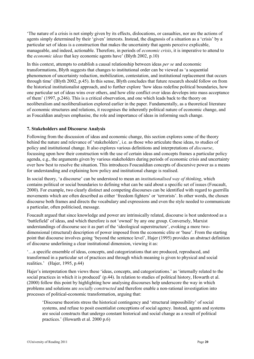'The nature of a crisis is not simply given by its effects, dislocations, or casualties, nor are the actions of agents simply determined by their 'given' interests. Instead, the diagnosis of a situation as a 'crisis' by a particular set of ideas is a construction that makes the uncertainty that agents perceive explicable, manageable, and indeed, actionable. Therefore, in periods of *economic crisis*, it is imperative to attend to the *economic ideas* that key economic agents have' (Blyth 2002, p.10)

In this context, attempts to establish a causal relationship between ideas *per se* and economic transformations, Blyth suggests that changes to institutional order can be viewed as 'a sequential phenomenon of uncertainty reduction, mobilization, contestation, and institutional replacement that occurs through time' (Blyth 2002, p.45). In this sense, Blyth concludes that future research should follow on from the historical institutionalist approach, and to further explore 'how ideas redefine political boundaries, how one particular set of ideas wins over others, and how elite conflict over ideas develops into mass acceptance of them' (1997, p.246). This is a critical observation, and one which leads back to the theory on neoliberalism and neoliberalisation explored earlier in the paper. Fundamentally, as a theoretical literature of economic structures and relations, it recognises the inherently political nature of economic change, and as Foucaldian analyses emphasise, the role and importance of ideas in informing such change.

#### <span id="page-19-0"></span>**7. Stakeholders and Discourse Analysis**

Following from the discussion of ideas and economic change, this section explores some of the theory behind the nature and relevance of 'stakeholders', i.e. as those who articulate these ideas, to studies of policy and institutional change. It also explores various definitions and interpretations of *discourse*, focussing upon how their construction with the use of certain ideas and concepts frames a particular policy agenda, e.g., the arguments given by various stakeholders during periods of economic crisis and uncertainty over how best to resolve the situation. This introduces Foucauldian concepts of discursive power as a means for understanding and explaining how policy and institutional change is realised.

In social theory, 'a discourse' can be understood to mean an *institutionalised way of thinking*, which contains political or social boundaries to defining what can be said about a specific set of issues (Foucault, 2000). For example, two clearly distinct and competing discourses can be identified with regard to guerrilla movements which are often described as either 'freedom fighters' or 'terrorists'. In other words, the chosen discourse both frames and directs the vocabulary and expressions and even the style needed to communicate a particular, often politicised, message.

Foucault argued that since knowledge and power are intrinsically related, discourse is best understood as a 'battlefield' of ideas, and which therefore is not 'owned' by any one group. Conversely, Marxist understandings of discourse see it as part of the 'ideological superstructure', evoking a more twodimensional (structural) description of power imposed from the economic elite or 'base'. From the starting point that discourse involves going 'beyond the sentence level', Hajer (1995) provides an abstract definition of discourse underlining a clear institutional dimension, viewing it as:

'…a specific ensemble of ideas, concepts, and categorizations that are produced, reproduced, and transformed in a particular set of practices and through which meaning is given to physical and social realities.' (Hajer, 1995, p.44)

Hajer's interpretation then views these 'ideas, concepts, and categorizations.' as 'internally related to the social practices in which it is produced' (p.44). In relation to studies of political history, Howarth et al. (2000) follow this point by highlighting how analysing discourses help underscore the way in which problems and solutions are *socially constructed* and therefore enable a non-rational investigation into processes of political-economic transformation, arguing that:

'Discourse theorists stress the historical contingency and 'structural impossibility' of social systems, and refuse to posit essentialist conceptions of social agency. Instead, agents and systems are social constructs that undergo constant historical and social change as a result of political practices.' (Howarth et al. 2000 p.6)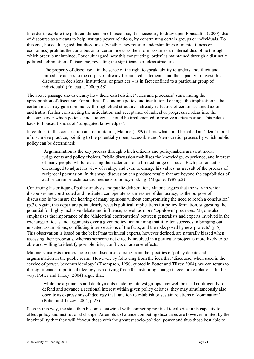In order to explore the political dimension of discourse, it is necessary to draw upon Foucault's (2000) idea of discourse as a means to help institute power relations, by constraining certain groups or individuals. To this end, Foucault argued that discourses (whether they refer to understandings of mental illness or economics) prohibit the contribution of certain ideas as their form assumes an internal discipline through which order is maintained. Foucault argued how this constricting 'order' is maintained through a distinctly political delimitation of discourse, revealing the significance of class structures:

'The property of discourse – in the sense of the right to speak, ability to understand, illicit and immediate access to the corpus of already formulated statements, and the capacity to invest this discourse in decisions, institutions, or practices – is in fact confined to a particular group of individuals' (Foucault, 2000 p.68)

The above passage shows clearly how there exist distinct 'rules and processes' surrounding the appropriation of discourse. For studies of economic policy and institutional change, the implication is that certain ideas may gain dominance through elitist structures, already reflective of certain assumed axioms and truths, further constricting the articulation and acceptance of radical or progressive ideas into the discourse over which policies and strategies should be implemented to resolve a crisis period. This relates back to Foucault's idea of 'subjugated knowledges'.

In contrast to this constriction and delimitation, Majone (1989) offers what could be called an 'ideal' model of discursive practice, pointing to the potentially open, accessible and 'democratic' process by which public policy can be determined:

'Argumentation is the key process through which citizens and policymakers arrive at moral judgements and policy choices. Public discussion mobilises the knowledge, experience, and interest of many people, while focussing their attention on a limited range of issues. Each participant is encouraged to adjust his view of reality, and even to change his values, as a result of the process of reciprocal persuasion. In this way, discussion can produce results that are beyond the capabilities of authoritarian or technocratic methods of policy-making' (Majone, 1989 p.2)

Continuing his critique of policy analysis and public deliberation, Majone argues that the way in which discourses are constructed and instituted can operate as a measure of democracy, as the purpose of discussion is 'to insure the hearing of many opinions without compromising the need to reach a conclusion' (p.3). Again, this departure point clearly reveals political implications for policy formation, suggesting the potential for highly inclusive debate and influence, as well as more 'top-down' processes. Majone also emphasises the importance of the 'dialectical confrontation' between generalists and experts involved in the exchange of ideas and arguments over a given policy, maintaining that it 'often succeeds in bringing out unstated assumptions, conflicting interpretations of the facts, and the risks posed by new projects' (p.5). This observation is based on the belief that technical experts, however defined, are naturally biased when assessing their proposals, whereas someone not directly involved in a particular project is more likely to be able and willing to identify possible risks, conflicts or adverse effects.

Majone's analysis focuses more upon discourses arising from the specifics of policy debate and argumentation in the public realm. However, by following from the idea that 'discourse, when used in the service of power, becomes ideology' (Thompson, 1990, quoted in Potter and Tilzey 2004), we can return to the significance of political ideology as a driving force for instituting change in economic relations. In this way, Potter and Tilzey (2004) argue that:

'while the arguments and deployments made by interest groups may well be used contingently to defend and advance a sectional interest within given policy debates, they may simultaneously also operate as expressions of ideology that function to establish or sustain relations of domination' (Potter and Tilzey, 2004, p.25)

Seen in this way, the state then becomes entwined with competing political ideologies in its capacity to affect policy and institutional change. Attempts to balance competing discourses are however limited by the inevitability that they will 'favour those with the greatest socio-political power and thus those best able to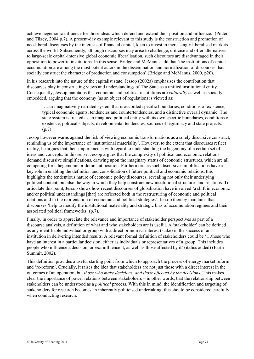achieve hegemonic influence for those ideas which defend and extend their position and influence.' (Potter and Tilzey, 2004 p.7). A present-day example relevant to this study is the construction and promotion of neo-liberal discourses by the interests of financial capital, keen to invest in increasingly liberalised markets across the world. Subsequently, although discourses may arise to challenge, criticise and offer alternatives to large-scale capital-intensive global economic liberalisation, such discourses are disadvantaged in their opposition to powerful institutions. In this sense, Bridge and McManus add that 'the institutions of capital accumulation are among the most potent actors in the dissemination and normalization of discourses that socially construct the character of production and consumption' (Bridge and McManus, 2000, p20).

In his research into the nature of the capitalist state, Jessop (2002a) emphasises the contribution that discourses play in constructing views and understandings of The State as a unified institutional entity. Consequently, Jessop maintains that economic and political institutions are *culturally* as well as socially embedded, arguing that the economy (as an object of regulation) is viewed as:

'…an imaginatively narrated system that is accorded specific boundaries, conditions of existence, typical economic agents, tendencies and countertendencies, and a distinctive overall dynamic. The state system is treated as an imagined political entity with its own specific boundaries, conditions of existence, political subjects, developmental tendencies, sources of legitimacy and state projects.' (p.7)

Jessop however warns against the risk of viewing economic transformations as a solely discursive construct, reminding us of the importance of 'institutional materiality'. However, to the extent that discourses reflect reality, he argues that their importance is with regard to understanding the hegemony of a certain set of ideas and concepts. In this sense, Jessop argues that the complexity of political and economic relations demand discursive simplifications, drawing upon the imaginary status of economic structures, which are all competing for a hegemonic or dominant position. Furthermore, as such discursive simplifications have a key role in enabling the definition and consolidation of future political and economic relations, this highlights the tendentious nature of economic policy discourses, revealing not only their underlying political content, but also the way in which they help construct new institutional structures and relations. To articulate this point, Jessop shows how recent discourses of globalisation have involved 'a shift in economic and/or political understandings [that] are reflected both in the restructuring of economic and political relations and in the reorientation of economic and political strategies'. Jessop thereby maintains that discourses 'help to modify the institutional materiality and strategic bias of accumulation regimes and their associated political frameworks' (p.7).

Finally, in order to appreciate the relevance and importance of stakeholder perspectives as part of a discourse analysis, a definition of what and who stakeholders are is useful. A 'stakeholder' can be defined as any identifiable individual or group with a direct or indirect interest (stake) in the success of an institution in delivering intended results. A relevant formal definition of stakeholders could be '…those who have an interest in a particular decision, either as individuals or representatives of a group. This includes people who influence a decision, or *can* influence it, as well as those affected by it' (italics added) (Earth Summit, 2002).

This definition provides a useful starting point from which to approach the process of energy market reform and 're-reform'. Crucially, it raises the idea that stakeholders are not just those with a direct interest in the outcomes of an operation, but *those who make decisions, and those affected by the decisions.* This makes clear the importance of power relations between stakeholders – in other words, that the relationship between stakeholders can be understood as a *political* process. With this in mind, the identification and targeting of stakeholders for research becomes an inherently politicised undertaking; this should be considered carefully when conducting research.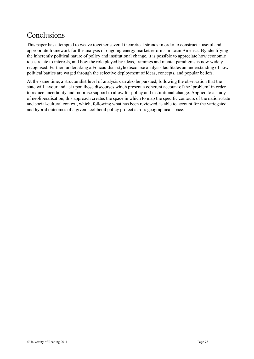## <span id="page-22-0"></span>Conclusions

This paper has attempted to weave together several theoretical strands in order to construct a useful and appropriate framework for the analysis of ongoing energy market reforms in Latin America. By identifying the inherently political nature of policy and institutional change, it is possible to appreciate how economic ideas relate to interests, and how the role played by ideas, framings and mental paradigms is now widely recognised. Further, undertaking a Foucauldian-style discourse analysis facilitates an understanding of how political battles are waged through the selective deployment of ideas, concepts, and popular beliefs.

At the same time, a structuralist level of analysis can also be pursued, following the observation that the state will favour and act upon those discourses which present a coherent account of the 'problem' in order to reduce uncertainty and mobilise support to allow for policy and institutional change. Applied to a study of neoliberalisation, this approach creates the space in which to map the specific contours of the nation-state and social-cultural context, which, following what has been reviewed, is able to account for the variegated and hybrid outcomes of a given neoliberal policy project across geographical space.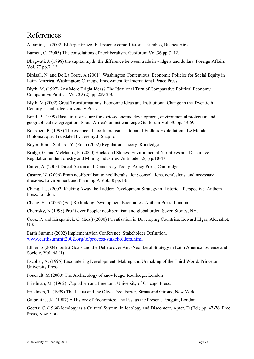### <span id="page-23-0"></span>References

Altamira, J. (2002) El Argentinazo. El Presente como Historia. Rumbos, Buenos Aires.

Barnett, C. (2005) The consolations of neoliberalism. Geoforum Vol.36 pp.7–12.

Bhagwati, J. (1998) the capital myth: the difference between trade in widgets and dollars. Foreign Affairs Vol. 77 pp.7–12.

Birdsall, N. and De La Torre, A (2001). Washington Contentious: Economic Policies for Social Equity in Latin America. Washington: Carnegie Endowment for International Peace Press.

Blyth, M. (1997) Any More Bright Ideas? The Ideational Turn of Comparative Political Economy. Comparative Politics, Vol. 29 (2), pp.229-250

Blyth, M (2002) Great Transformations: Economic Ideas and Institutional Change in the Twentieth Century. Cambridge University Press.

Bond, P. (1999) Basic infrastructure for socio-economic development, environmental protection and geographical desegregation: South Africa's unmet challenge Geoforum Vol. 30 pp. 43-59

Bourdieu, P. (1998) The essence of neo-liberalism - Utopia of Endless Exploitation. Le Monde Diplomatique. Translated by Jeremy J. Shapiro.

Boyer, R and Saillard, Y. (Eds.) (2002) Regulation Theory. Routledge

Bridge, G. and McManus, P. (2000) Sticks and Stones: Environmental Narratives and Discursive Regulation in the Forestry and Mining Industries. Antipode 32(1) p.10-47

Carter, A. (2005) Direct Action and Democracy Today. Policy Press, Cambridge.

Castree, N. (2006) From neoliberalism to neoliberalisation: consolations, confusions, and necessary illusions. Environment and Planning A Vol.38 pp.1-6

Chang, H.J. (2002) Kicking Away the Ladder: Development Strategy in Historical Perspective. Anthem Press, London.

Chang, H.J (2003) (Ed.) Rethinking Development Economics. Anthem Press, London.

Chomsky, N (1998) Profit over People: neoliberalism and global order. Seven Stories, NY.

Cook, P. and Kirkpatrick, C. (Eds.) (2000) Privatisation in Developing Countries. Edward Elgar, Aldershot, U.K.

Earth Summit (2002) Implementation Conference: Stakeholder Definition. [www.earthsummit2002.org/ic/process/stakeholders.html](http://www.earthsummit2002.org/ic/process/stakeholders.html)

Ellner, S (2004) Leftist Goals and the Debate over Anti-Neoliberal Strategy in Latin America. Science and Society. Vol. 68 (1)

Escobar, A. (1995) Encountering Development: Making and Unmaking of the Third World. Princeton University Press

Foucault, M (2000) The Archaeology of knowledge. Routledge, London

Friedman, M. (1962). Capitalism and Freedom. University of Chicago Press.

Friedman, T. (1999) The Lexus and the Olive Tree. Farrar, Straus and Giroux, New York

Galbraith, J.K. (1987) A History of Economics: The Past as the Present. Penguin, London.

Geertz, C. (1964) Ideology as a Cultural System. In Ideology and Discontent. Apter, D (Ed.) pp. 47-76. Free Press, New York.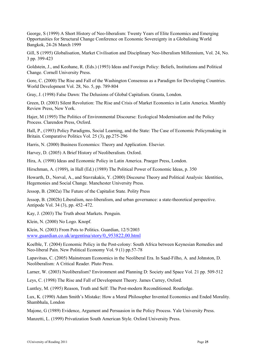George, S (1999) A Short History of Neo-liberalism: Twenty Years of Elite Economics and Emerging Opportunities for Structural Change Conference on Economic Sovereignty in a Globalising World Bangkok, 24-26 March 1999

Gill, S (1995) Globalisation, Market Civilisation and Disciplinary Neo-liberalism Millennium, Vol. 24, No. 3 pp. 399-423

Goldstein, J., and Keohane, R. (Eds.) (1993) Ideas and Foreign Policy: Beliefs, Institutions and Political Change. Cornell University Press.

Gore, C. (2000) The Rise and Fall of the Washington Consensus as a Paradigm for Developing Countries. World Development Vol. 28, No. 5, pp. 789-804

Gray, J. (1998) False Dawn: The Delusions of Global Capitalism. Granta, London.

Green, D. (2003) Silent Revolution: The Rise and Crisis of Market Economics in Latin America. Monthly Review Press, New York.

Hajer, M (1995) The Politics of Environmental Discourse: Ecological Modernisation and the Policy Process. Clarendon Press, Oxford.

Hall, P., (1993) Policy Paradigms, Social Learning, and the State: The Case of Economic Policymaking in Britain. Comparative Politics Vol. 25 (3), pp.275-296

Harris, N. (2000) Business Economics: Theory and Application. Elsevier.

Harvey, D. (2005) A Brief History of Neoliberalism. Oxford.

Hira, A. (1998) Ideas and Economic Policy in Latin America. Praeger Press, London.

Hirschman, A. (1989), in Hall (Ed.) (1989) The Political Power of Economic Ideas, p. 350

Howarth, D., Norval, A., and Stavrakakis, Y. (2000) Discourse Theory and Political Analysis: Identities, Hegemonies and Social Change. Manchester University Press.

Jessop, B. (2002a) The Future of the Capitalist State. Polity Press

Jessop, B. (2002b) Liberalism, neo-liberalism, and urban governance: a state-theoretical perspective. Antipode Vol. 34 (3), pp. 452–472.

Kay, J. (2003) The Truth about Markets. Penguin.

Klein, N. (2000) No Logo. Knopf.

Klein, N. (2003) From Pots to Politics. Guardian, 12/5/2003 [www.guardian.co.uk/argentina/story/0,,953822,00.html](http://www.guardian.co.uk/argentina/story/0,,953822,00.html)

Koelble, T. (2004) Economic Policy in the Post-colony: South Africa between Keynesian Remedies and Neo-liberal Pain. New Political Economy Vol. 9 (1) pp.57-78

Lapavitsas, C. (2005) Mainstream Economics in the Neoliberal Era. In Saad-Filho, A. and Johnston, D. Neoliberalism: A Critical Reader. Pluto Press.

Larner, W. (2003) Neoliberalism? Environment and Planning D: Society and Space Vol. 21 pp. 509-512

Leys, C. (1998) The Rise and Fall of Development Theory. James Currey, Oxford.

Luntley, M. (1995) Reason, Truth and Self: The Post-modern Reconditioned. Routledge.

Lux, K. (1990) Adam Smith's Mistake: How a Moral Philosopher Invented Economics and Ended Morality. Shambhala, London

Majone, G (1989) Evidence, Argument and Persuasion in the Policy Process. Yale University Press.

Manzetti, L. (1999) Privatization South American Style. Oxford University Press.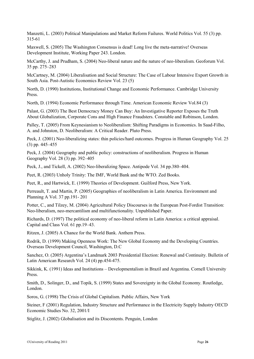Manzetti, L. (2003) Political Manipulations and Market Reform Failures. World Politics Vol. 55 (3) pp. 315-61

Maxwell, S. (2005) The Washington Consensus is dead! Long live the meta-narrative! Overseas Development Institute, Working Paper 243. London.

McCarthy, J. and Prudham, S. (2004) Neo-liberal nature and the nature of neo-liberalism. Geoforum Vol. 35 pp. 275–283

McCartney, M. (2004) Liberalisation and Social Structure: The Case of Labour Intensive Export Growth in South Asia. Post-Autistic Economics Review Vol. 23 (5)

North, D. (1990) Institutions, Institutional Change and Economic Performance. Cambridge University Press.

North, D. (1994) Economic Performance through Time. American Economic Review Vol.84 (3)

Palast, G. (2003) The Best Democracy Money Can Buy: An Investigative Reporter Exposes the Truth About Globalization, Corporate Cons and High Finance Fraudsters. Constable and Robinson, London.

Palley, T. (2005) From Keynesianism to Neoliberalism: Shifting Paradigms in Economics. In Saad-Filho, A. and Johnston, D. Neoliberalism: A Critical Reader. Pluto Press.

Peck, J. (2001) Neo-liberalizing states: thin policies/hard outcomes. Progress in Human Geography Vol. 25 (3) pp. 445–455

Peck, J. (2004) Geography and public policy: constructions of neoliberalism. Progress in Human Geography Vol. 28 (3) pp. 392–405

Peck, J., and Tickell, A. (2002) Neo-liberalizing Space. Antipode Vol. 34 pp.380–404.

Peet, R. (2003) Unholy Trinity: The IMF, World Bank and the WTO. Zed Books.

Peet, R., and Hartwick, E. (1999) Theories of Development. Guilford Press, New York.

Perreault, T. and Martin, P. (2005) Geographies of neoliberalism in Latin America. Environment and Planning A Vol. 37 pp.191- 201

Potter, C., and Tilzey, M. (2004) Agricultural Policy Discourses in the European Post-Fordist Transition: Neo-liberalism, neo-mercantilism and multifunctionality. Unpublished Paper.

Richards, D. (1997) The political economy of neo-liberal reform in Latin America: a critical appraisal. Capital and Class Vol. 61 pp.19–43.

Ritzen, J. (2005) A Chance for the World Bank. Anthem Press.

Rodrik, D. (1999) Making Openness Work: The New Global Economy and the Developing Countries. Overseas Development Council, Washington, D.C

Sanchez, O. (2005) Argentina's Landmark 2003 Presidential Election: Renewal and Continuity. Bulletin of Latin American Research Vol. 24 (4) pp.454-475.

Sikkink, K. (1991) Ideas and Institutions – Developmentalism in Brazil and Argentina. Cornell University Press.

Smith, D., Solinger, D., and Topik, S. (1999) States and Sovereignty in the Global Economy. Routledge, London.

Soros, G. (1998) The Crisis of Global Capitalism. Public Affairs, New York

Steiner, F (2001) Regulation, Industry Structure and Performance in the Electricity Supply Industry OECD Economic Studies No. 32, 2001/I

Stiglitz, J. (2002) Globalisation and its Discontents. Penguin, London